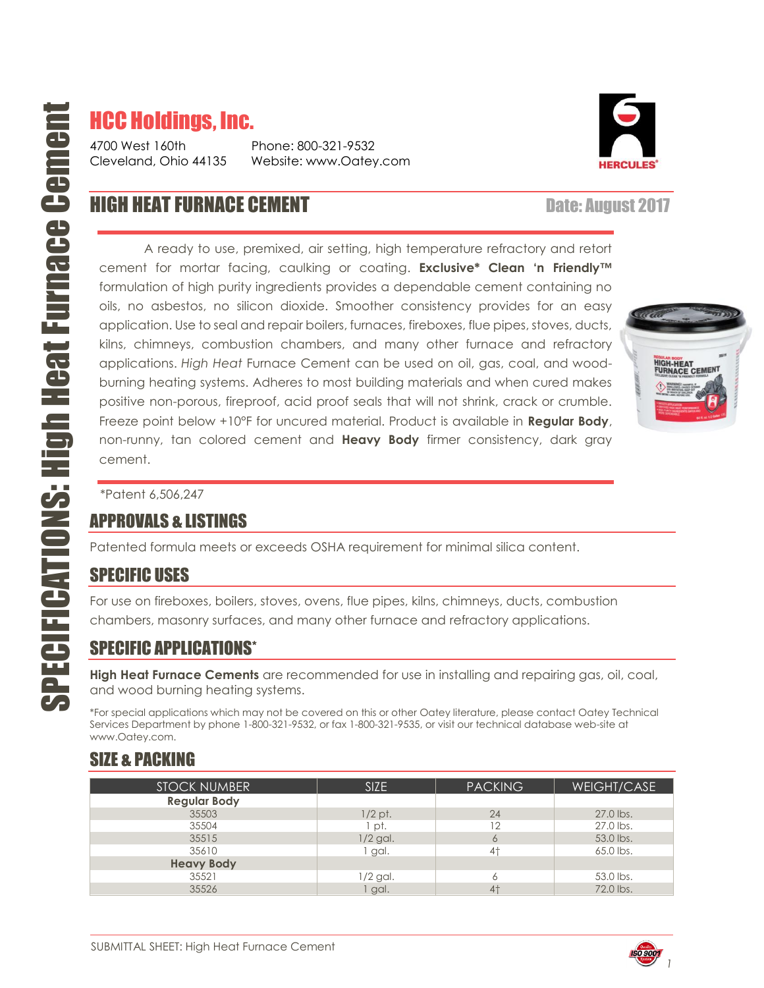# HCC Holdings, Inc.

4700 West 160th Phone: 800-321-9532 Cleveland, Ohio 44135 Website: www.Oatey.com



## **HIGH HEAT FURNACE CEMENT Date: August 2017**

A ready to use, premixed, air setting, high temperature refractory and retort cement for mortar facing, caulking or coating. **Exclusive\* Clean 'n Friendly™** formulation of high purity ingredients provides a dependable cement containing no oils, no asbestos, no silicon dioxide. Smoother consistency provides for an easy application. Use to seal and repair boilers, furnaces, fireboxes, flue pipes, stoves, ducts, kilns, chimneys, combustion chambers, and many other furnace and refractory applications. *High Heat* Furnace Cement can be used on oil, gas, coal, and woodburning heating systems. Adheres to most building materials and when cured makes positive non-porous, fireproof, acid proof seals that will not shrink, crack or crumble. Freeze point below +10°F for uncured material. Product is available in **Regular Body**, non-runny, tan colored cement and **Heavy Body** firmer consistency, dark gray cement.



\*Patent 6,506,247

#### APPROVALS & LISTINGS

Patented formula meets or exceeds OSHA requirement for minimal silica content.

#### SPECIFIC USES

For use on fireboxes, boilers, stoves, ovens, flue pipes, kilns, chimneys, ducts, combustion chambers, masonry surfaces, and many other furnace and refractory applications.

#### SPECIFIC APPLICATIONS\*

**High Heat Furnace Cements** are recommended for use in installing and repairing gas, oil, coal, and wood burning heating systems.

\*For special applications which may not be covered on this or other Oatey literature, please contact Oatey Technical Services Department by phone 1-800-321-9532, or fax 1-800-321-9535, or visit our technical database web-site at www.Oatey.com.

#### SIZE & PACKING

| <b>STOCK NUMBER</b> | <b>SIZE</b> | <b>PACKING</b> | WEIGHT/CASE |
|---------------------|-------------|----------------|-------------|
| <b>Regular Body</b> |             |                |             |
| 35503               | $1/2$ pt.   | 24             | 27.0 lbs.   |
| 35504               | pt.         | 12             | 27.0 lbs.   |
| 35515               | $1/2$ gal.  | 6              | 53.0 lbs.   |
| 35610               | 1 gal.      | 4†             | 65.0 lbs.   |
| <b>Heavy Body</b>   |             |                |             |
| 35521               | $1/2$ gal.  | 6              | 53.0 lbs.   |
| 35526               | gal.        | $4+$           | 72.0 lbs.   |